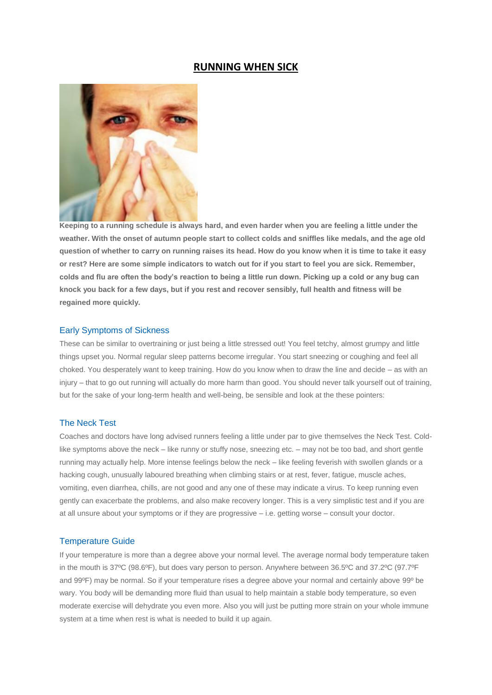# **RUNNING WHEN SICK**



**Keeping to a running schedule is always hard, and even harder when you are feeling a little under the weather. With the onset of autumn people start to collect colds and sniffles like medals, and the age old question of whether to carry on running raises its head. How do you know when it is time to take it easy or rest? Here are some simple indicators to watch out for if you start to feel you are sick. Remember, colds and flu are often the body's reaction to being a little run down. Picking up a cold or any bug can knock you back for a few days, but if you rest and recover sensibly, full health and fitness will be regained more quickly.**

## Early Symptoms of Sickness

These can be similar to overtraining or just being a little stressed out! You feel tetchy, almost grumpy and little things upset you. Normal regular sleep patterns become irregular. You start sneezing or coughing and feel all choked. You desperately want to keep training. How do you know when to draw the line and decide – as with an injury – that to go out running will actually do more harm than good. You should never talk yourself out of training, but for the sake of your long-term health and well-being, be sensible and look at the these pointers:

## The Neck Test

Coaches and doctors have long advised runners feeling a little under par to give themselves the Neck Test. Coldlike symptoms above the neck – like runny or stuffy nose, sneezing etc. – may not be too bad, and short gentle running may actually help. More intense feelings below the neck – like feeling feverish with swollen glands or a hacking cough, unusually laboured breathing when climbing stairs or at rest, fever, fatigue, muscle aches, vomiting, even diarrhea, chills, are not good and any one of these may indicate a virus. To keep running even gently can exacerbate the problems, and also make recovery longer. This is a very simplistic test and if you are at all unsure about your symptoms or if they are progressive – i.e. getting worse – consult your doctor.

### Temperature Guide

If your temperature is more than a degree above your normal level. The average normal body temperature taken in the mouth is 37ºC (98.6ºF), but does vary person to person. Anywhere between 36.5ºC and 37.2ºC (97.7ºF and 99ºF) may be normal. So if your temperature rises a degree above your normal and certainly above 99º be wary. You body will be demanding more fluid than usual to help maintain a stable body temperature, so even moderate exercise will dehydrate you even more. Also you will just be putting more strain on your whole immune system at a time when rest is what is needed to build it up again.